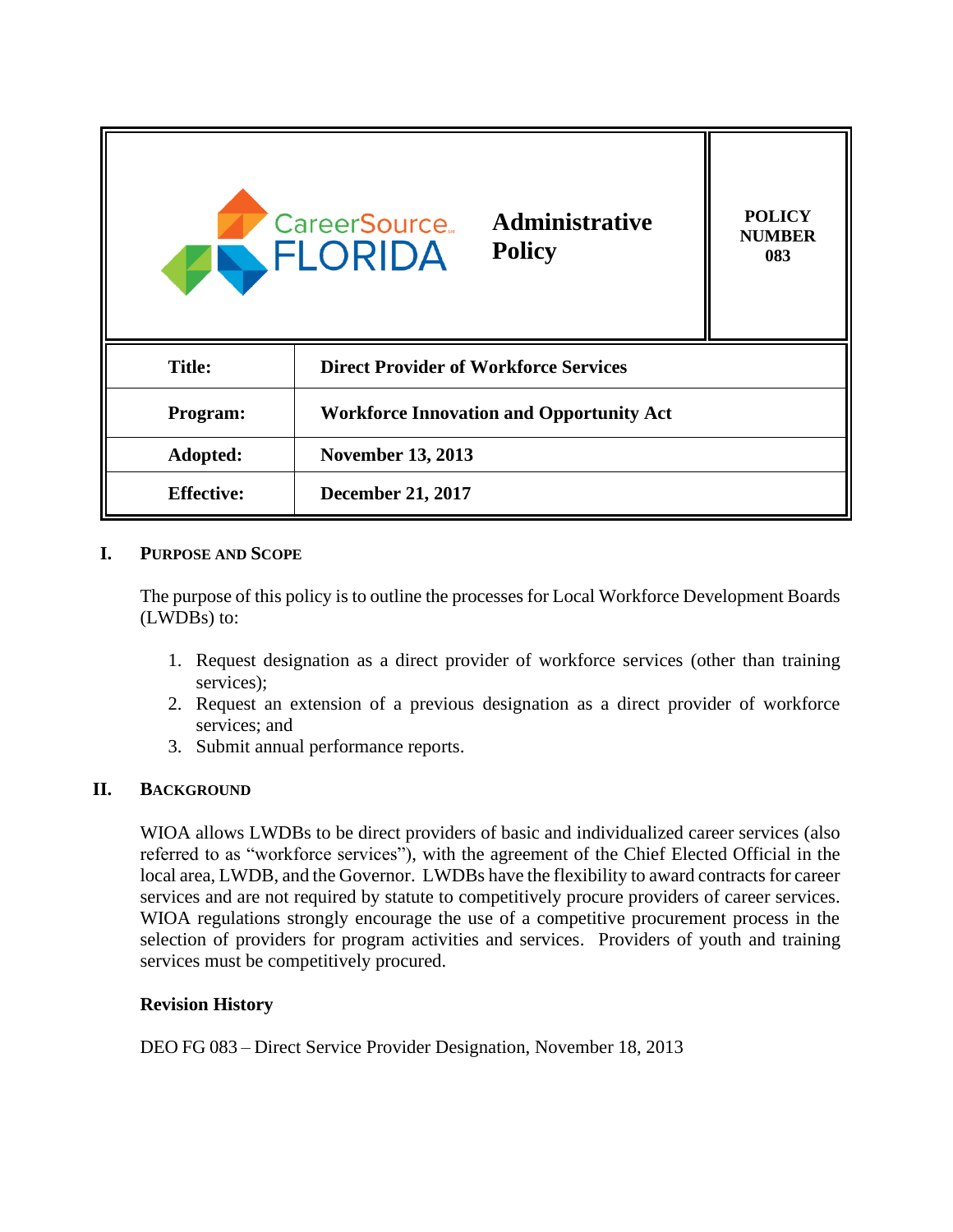

## **I. PURPOSE AND SCOPE**

The purpose of this policy is to outline the processes for Local Workforce Development Boards (LWDBs) to:

- 1. Request designation as a direct provider of workforce services (other than training services);
- 2. Request an extension of a previous designation as a direct provider of workforce services; and
- 3. Submit annual performance reports.

#### **II. BACKGROUND**

WIOA allows LWDBs to be direct providers of basic and individualized career services (also referred to as "workforce services"), with the agreement of the Chief Elected Official in the local area, LWDB, and the Governor. LWDBs have the flexibility to award contracts for career services and are not required by statute to competitively procure providers of career services. WIOA regulations strongly encourage the use of a competitive procurement process in the selection of providers for program activities and services. Providers of youth and training services must be competitively procured.

#### **Revision History**

DEO FG 083 – Direct Service Provider Designation, November 18, 2013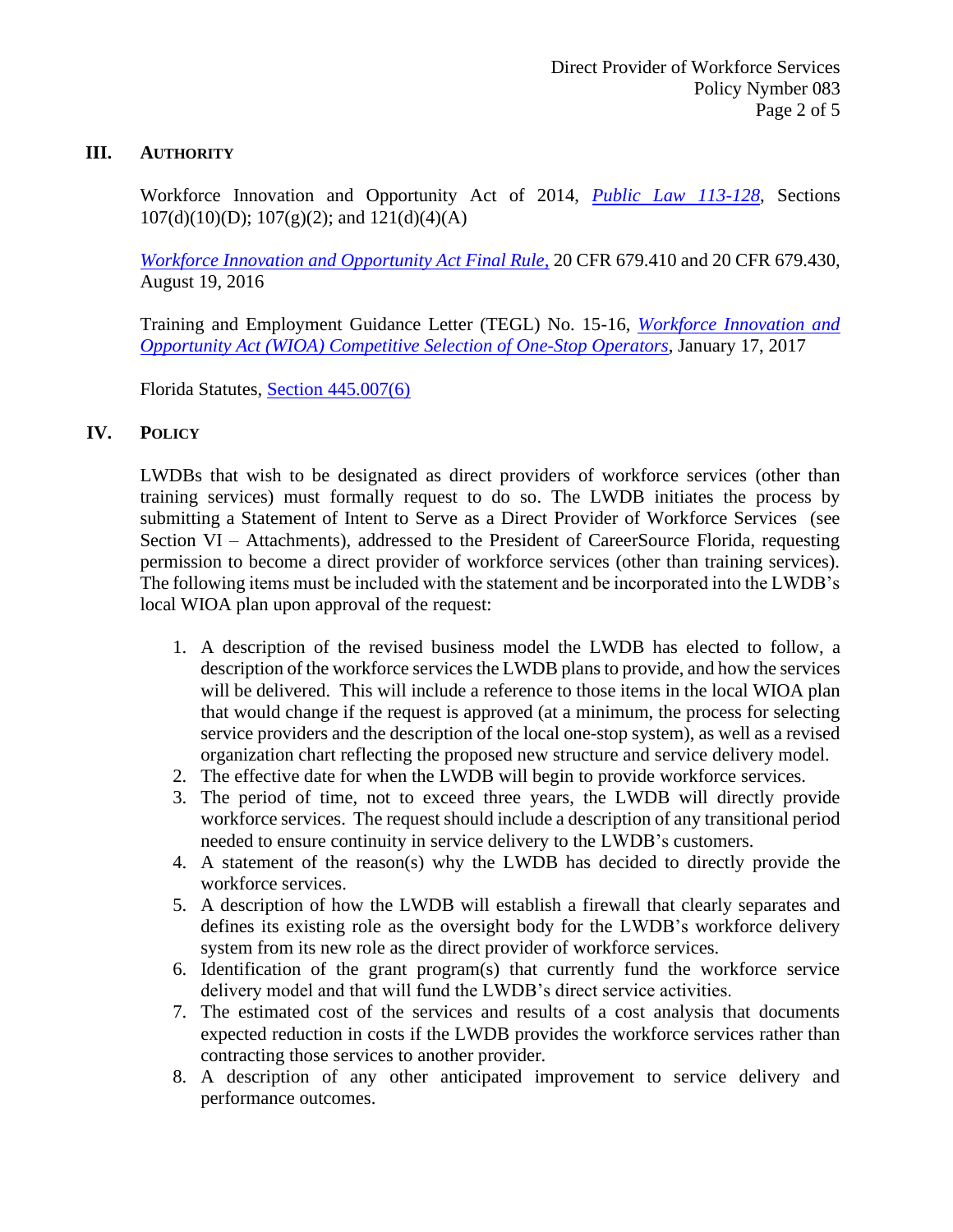#### **III. AUTHORITY**

Workforce Innovation and Opportunity Act of 2014, *[Public Law 113-128](https://www.gpo.gov/fdsys/pkg/PLAW-113publ128/pdf/PLAW-113publ128.pdf)*, Sections  $107(d)(10)(D)$ ;  $107(g)(2)$ ; and  $121(d)(4)(A)$ 

*[Workforce Innovation and Opportunity Act Final Rule,](https://www.gpo.gov/fdsys/pkg/FR-2016-08-19/pdf/2016-15975.pdf)* 20 CFR 679.410 and 20 CFR 679.430, August 19, 2016

Training and Employment Guidance Letter (TEGL) No. 15-16, *[Workforce Innovation and](https://wdr.doleta.gov/directives/corr_doc.cfm?docn=8116)  [Opportunity Act \(WIOA\) Competitive Selection of One-Stop Operators](https://wdr.doleta.gov/directives/corr_doc.cfm?docn=8116)*, January 17, 2017

Florida Statutes, [Section 445.007\(6\)](http://www.leg.state.fl.us/statutes/index.cfm?App_mode=Display_Statute&Search_String=&URL=0400-0499/0445/Sections/0445.007.html)

## **IV. POLICY**

LWDBs that wish to be designated as direct providers of workforce services (other than training services) must formally request to do so. The LWDB initiates the process by submitting a Statement of Intent to Serve as a Direct Provider of Workforce Services (see Section VI – Attachments), addressed to the President of CareerSource Florida, requesting permission to become a direct provider of workforce services (other than training services). The following items must be included with the statement and be incorporated into the LWDB's local WIOA plan upon approval of the request:

- 1. A description of the revised business model the LWDB has elected to follow, a description of the workforce services the LWDB plansto provide, and how the services will be delivered. This will include a reference to those items in the local WIOA plan that would change if the request is approved (at a minimum, the process for selecting service providers and the description of the local one-stop system), as well as a revised organization chart reflecting the proposed new structure and service delivery model.
- 2. The effective date for when the LWDB will begin to provide workforce services.
- 3. The period of time, not to exceed three years, the LWDB will directly provide workforce services. The request should include a description of any transitional period needed to ensure continuity in service delivery to the LWDB's customers.
- 4. A statement of the reason(s) why the LWDB has decided to directly provide the workforce services.
- 5. A description of how the LWDB will establish a firewall that clearly separates and defines its existing role as the oversight body for the LWDB's workforce delivery system from its new role as the direct provider of workforce services.
- 6. Identification of the grant program(s) that currently fund the workforce service delivery model and that will fund the LWDB's direct service activities.
- 7. The estimated cost of the services and results of a cost analysis that documents expected reduction in costs if the LWDB provides the workforce services rather than contracting those services to another provider.
- 8. A description of any other anticipated improvement to service delivery and performance outcomes.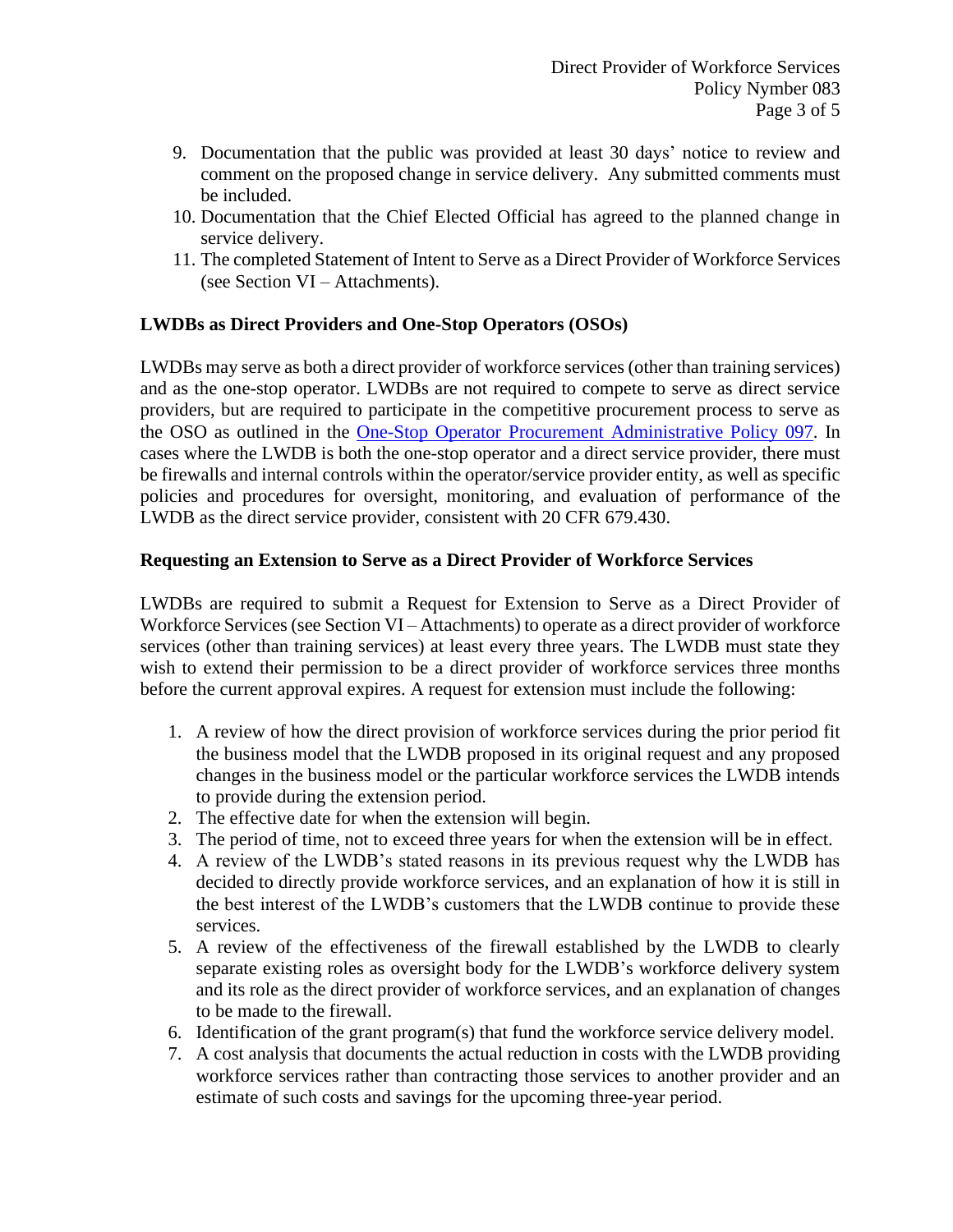- 9. Documentation that the public was provided at least 30 days' notice to review and comment on the proposed change in service delivery. Any submitted comments must be included.
- 10. Documentation that the Chief Elected Official has agreed to the planned change in service delivery.
- 11. The completed Statement of Intent to Serve as a Direct Provider of Workforce Services (see Section VI – Attachments).

## **LWDBs as Direct Providers and One-Stop Operators (OSOs)**

LWDBs may serve as both a direct provider of workforce services(other than training services) and as the one-stop operator. LWDBs are not required to compete to serve as direct service providers, but are required to participate in the competitive procurement process to serve as the OSO as outlined in the [One-Stop Operator Procurement Administrative Policy](http://floridajobs.org/docs/default-source/lwdb-resources/policy-and-guidance/guidance-papers/2017-guidance-papers/adminpol097_onestopprocurement_final_9252017.pdf?sfvrsn=2acd72b0_6) 097. In cases where the LWDB is both the one-stop operator and a direct service provider, there must be firewalls and internal controls within the operator/service provider entity, as well as specific policies and procedures for oversight, monitoring, and evaluation of performance of the LWDB as the direct service provider, consistent with 20 CFR 679.430.

## **Requesting an Extension to Serve as a Direct Provider of Workforce Services**

LWDBs are required to submit a Request for Extension to Serve as a Direct Provider of Workforce Services (see Section VI – Attachments) to operate as a direct provider of workforce services (other than training services) at least every three years. The LWDB must state they wish to extend their permission to be a direct provider of workforce services three months before the current approval expires. A request for extension must include the following:

- 1. A review of how the direct provision of workforce services during the prior period fit the business model that the LWDB proposed in its original request and any proposed changes in the business model or the particular workforce services the LWDB intends to provide during the extension period.
- 2. The effective date for when the extension will begin.
- 3. The period of time, not to exceed three years for when the extension will be in effect.
- 4. A review of the LWDB's stated reasons in its previous request why the LWDB has decided to directly provide workforce services, and an explanation of how it is still in the best interest of the LWDB's customers that the LWDB continue to provide these services.
- 5. A review of the effectiveness of the firewall established by the LWDB to clearly separate existing roles as oversight body for the LWDB's workforce delivery system and its role as the direct provider of workforce services, and an explanation of changes to be made to the firewall.
- 6. Identification of the grant program(s) that fund the workforce service delivery model.
- 7. A cost analysis that documents the actual reduction in costs with the LWDB providing workforce services rather than contracting those services to another provider and an estimate of such costs and savings for the upcoming three-year period.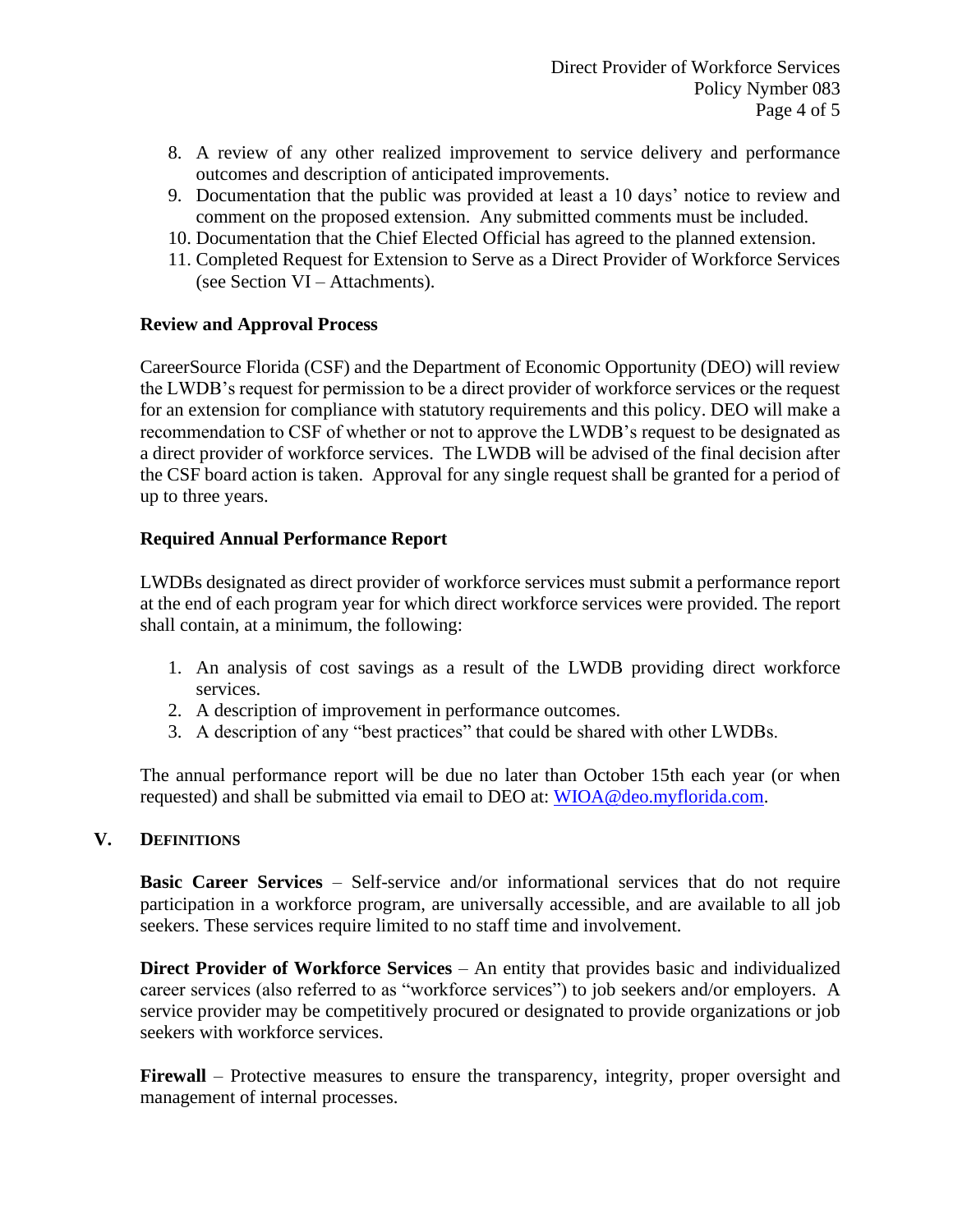- 8. A review of any other realized improvement to service delivery and performance outcomes and description of anticipated improvements.
- 9. Documentation that the public was provided at least a 10 days' notice to review and comment on the proposed extension. Any submitted comments must be included.
- 10. Documentation that the Chief Elected Official has agreed to the planned extension.
- 11. Completed Request for Extension to Serve as a Direct Provider of Workforce Services (see Section VI – Attachments).

#### **Review and Approval Process**

CareerSource Florida (CSF) and the Department of Economic Opportunity (DEO) will review the LWDB's request for permission to be a direct provider of workforce services or the request for an extension for compliance with statutory requirements and this policy. DEO will make a recommendation to CSF of whether or not to approve the LWDB's request to be designated as a direct provider of workforce services. The LWDB will be advised of the final decision after the CSF board action is taken. Approval for any single request shall be granted for a period of up to three years.

## **Required Annual Performance Report**

LWDBs designated as direct provider of workforce services must submit a performance report at the end of each program year for which direct workforce services were provided. The report shall contain, at a minimum, the following:

- 1. An analysis of cost savings as a result of the LWDB providing direct workforce services.
- 2. A description of improvement in performance outcomes.
- 3. A description of any "best practices" that could be shared with other LWDBs.

The annual performance report will be due no later than October 15th each year (or when requested) and shall be submitted via email to DEO at: [WIOA@deo.myflorida.com.](mailto:WIOA@deo.myflorida.com)

#### **V. DEFINITIONS**

**Basic Career Services** – Self-service and/or informational services that do not require participation in a workforce program, are universally accessible, and are available to all job seekers. These services require limited to no staff time and involvement.

**Direct Provider of Workforce Services** – An entity that provides basic and individualized career services (also referred to as "workforce services") to job seekers and/or employers. A service provider may be competitively procured or designated to provide organizations or job seekers with workforce services.

**Firewall** – Protective measures to ensure the transparency, integrity, proper oversight and management of internal processes.